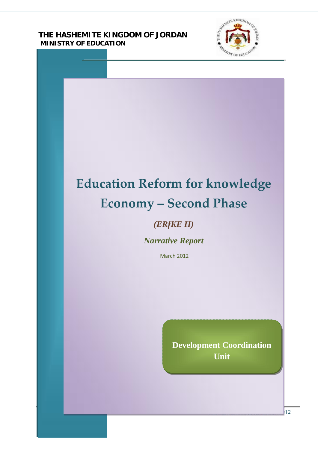**THE HASHEMITE KINGDOM OF JORDAN MINISTRY OF EDUCATION**



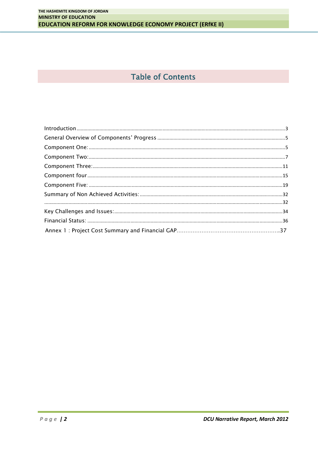# **Table of Contents**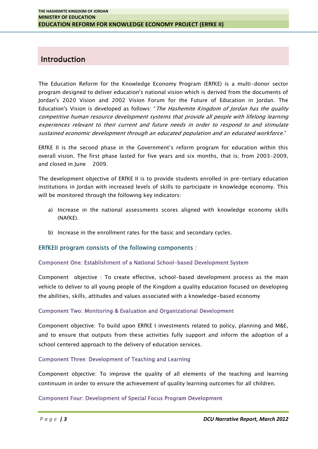# **Introduction**

The Education Reform for the Knowledge Economy Program (ERfKE) is a multi-donor sector program designed to deliver education's national vision which is derived from the documents of Jordan's 2020 Vision and 2002 Vision Forum for the Future of Education in Jordan. The Education's Vision is developed as follows: "*The Hashemite Kingdom of Jordan has the quality competitive human resource development systems that provide all people with lifelong learning experiences relevant to their current and future needs in order to respond to and stimulate sustained economic development through an educated population and an educated workforce*."

ERfKE II is the second phase in the Government's reform program for education within this overall vision. The first phase lasted for five years and six months, that is; from 2003-2009, and closed in June 2009.

The development objective of ERfKE II is to provide students enrolled in pre-tertiary education institutions in Jordan with increased levels of skills to participate in knowledge economy. This will be monitored through the following key indicators:

- a) Increase in the national assessments scores aligned with knowledge economy skills (NAfKE).
- b) Increase in the enrollment rates for the basic and secondary cycles.

# **ERfKEII program consists of the following components :**

#### **Component One: Establishment of a National School-based Development System**

Component objective : To create effective, school-based development process as the main vehicle to deliver to all young people of the Kingdom a quality education focused on developing the abilities, skills, attitudes and values associated with a knowledge-based economy

#### **Component Two: Monitoring & Evaluation and Organizational Development**

Component objective: To build upon ERfKE I investments related to policy, planning and M&E, and to ensure that outputs from these activities fully support and inform the adoption of a school centered approach to the delivery of education services.

#### **Component Three: Development of Teaching and Learning**

**Page 13**<br> *Page 13*<br> *Page 13* Component objective: To improve the quality of all elements of the teaching and learning

#### **Component Four: Development of Special Focus Program Development**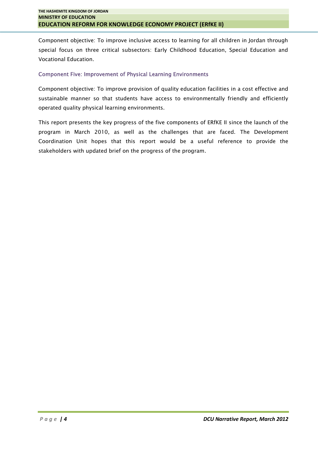Component objective: To improve inclusive access to learning for all children in Jordan through special focus on three critical subsectors: Early Childhood Education, Special Education and Vocational Education.

#### **Component Five: Improvement of Physical Learning Environments**

Component objective: To improve provision of quality education facilities in a cost effective and sustainable manner so that students have access to environmentally friendly and efficiently operated quality physical learning environments.

This report presents the key progress of the five components of ERfKE II since the launch of the program in March 2010, as well as the challenges that are faced. The Development Coordination Unit hopes that this report would be a useful reference to provide the stakeholders with updated brief on the progress of the program.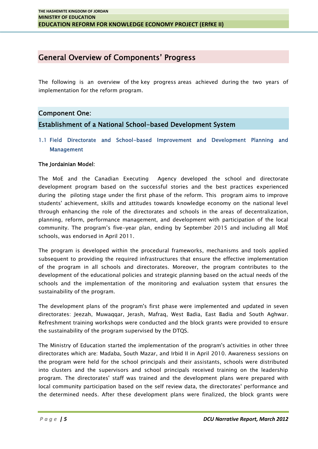# **General Overview of Components' Progress**

The following is an overview of the key progress areas achieved during the two years of implementation for the reform program.

# **Component One:**

**Establishment of a National School-based Development System**

**1.1 Field Directorate and School-based Improvement and Development Planning and Management**

#### **The Jordainian Model:**

The MoE and the Canadian Executing Agency developed the school and directorate development program based on the successful stories and the best practices experienced during the piloting stage under the first phase of the reform. This program aims to improve students' achievement, skills and attitudes towards knowledge economy on the national level through enhancing the role of the directorates and schools in the areas of decentralization, planning, reform, performance management, and development with participation of the local community. The program's five-year plan, ending by September 2015 and including all MoE schools, was endorsed in April 2011.

The program is developed within the procedural frameworks, mechanisms and tools applied subsequent to providing the required infrastructures that ensure the effective implementation of the program in all schools and directorates. Moreover, the program contributes to the development of the educational policies and strategic planning based on the actual needs of the schools and the implementation of the monitoring and evaluation system that ensures the sustainability of the program.

The development plans of the program's first phase were implemented and updated in seven directorates: Jeezah, Muwaqqar, Jerash, Mafraq, West Badia, East Badia and South Aghwar. Refreshment training workshops were conducted and the block grants were provided to ensure the sustainability of the program supervised by the DTQS.

*P a g e |* 5<br>*P a g e |* 5<br>*P a g e |* 5<br>*P a g e |* 5 The Ministry of Education started the implementation of the program's activities in other three directorates which are: Madaba, South Mazar, and Irbid II in April 2010. Awareness sessions on the program were held for the school principals and their assistants, schools were distributed into clusters and the supervisors and school principals received training on the leadership program. The directorates' staff was trained and the development plans were prepared with local community participation based on the self review data, the directorates' performance and the determined needs. After these development plans were finalized, the block grants were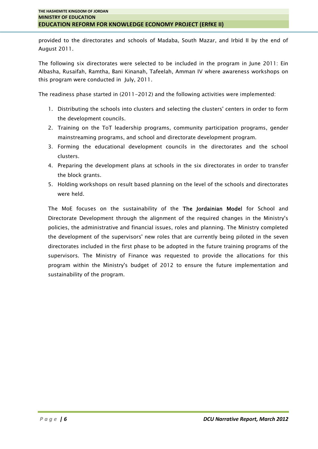provided to the directorates and schools of Madaba, South Mazar, and Irbid II by the end of August 2011.

The following six directorates were selected to be included in the program in June 2011: Ein Albasha, Rusaifah, Ramtha, Bani Kinanah, Tafeelah, Amman IV where awareness workshops on this program were conducted in July, 2011.

The readiness phase started in (2011-2012) and the following activities were implemented:

- 1. Distributing the schools into clusters and selecting the clusters' centers in order to form the development councils.
- 2. Training on the ToT leadership programs, community participation programs, gender mainstreaming programs, and school and directorate development program.
- 3. Forming the educational development councils in the directorates and the school clusters.
- 4. Preparing the development plans at schools in the six directorates in order to transfer the block grants.
- 5. Holding workshops on result based planning on the level of the schools and directorates were held.

The MoE focuses on the sustainability of the **The Jordainian Model** for School and Directorate Development through the alignment of the required changes in the Ministry's policies, the administrative and financial issues, roles and planning. The Ministry completed the development of the supervisors' new roles that are currently being piloted in the seven directorates included in the first phase to be adopted in the future training programs of the supervisors. The Ministry of Finance was requested to provide the allocations for this program within the Ministry's budget of 2012 to ensure the future implementation and sustainability of the program.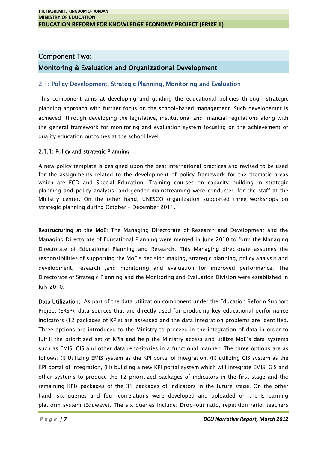#### **Component Two:**

# **Monitoring & Evaluation and Organizational Development**

## **2.1: Policy Development, Strategic Planning, Monitoring and Evaluation**

This component aims at developing and guiding the educational policies through strategic planning approach with further focus on the school-based management. Such developemnt is achieved through developing the legislative, institutional and financial regulations along with the general framework for monitoring and evaluation system focusing on the achievement of quality education outcomes at the school level.

#### **2.1.1: Policy and strategic Planning**

A new policy template is designed upon the best international practices and revised to be used for the assignments related to the development of policy framework for the thematic areas which are ECD and Special Education. Training courses on capacity building in strategic planning and policy analysis, and gender mainstreaming were conducted for the staff at the Ministry center. On the other hand, UNESCO organization supported three workshops on strategic planning during October – December 2011.

**Restructuring at the MoE:** The Managing Directorate of Research and Development and the Managing Directorate of Educational Planning were merged in June 2010 to form the Managing Directorate of Educational Planning and Research. This Managing directorate assumes the responsibilities of supporting the MoE's decision making, strategic planning, policy analysis and development, research ,and monitoring and evaluation for improved performance. The Directorate of Strategic Planning and the Monitoring and Evaluation Division were established in July 2010.

*P P a g e | 7 P a g e | 7 P a g e | 7 DCU Narrative Report, March 2012* **Data Utilization:** As part of the data utilization component under the Education Reform Support Project (ERSP), data sources that are directly used for producing key educational performance indicators (12 packages of KPIs) are assessed and the data integration problems are identified. Three options are introduced to the Ministry to proceed in the integration of data in order to fulfill the prioritized set of KPIs and help the Ministry access and utilize MoE's data systems such as EMIS, GIS and other data repositories in a functional manner. The three options are as follows: (i) Utilizing EMIS system as the KPI portal of integration, (ii) utilizing GIS system as the KPI portal of integration, (iii) building a new KPI portal system which will integrate EMIS, GIS and other systems to produce the 12 prioritized packages of indicators in the first stage and the hand, six queries and four correlations were developed and uploaded on the E-learning platform system (Eduwave). The six queries include: Drop-out ratio, repetition ratio, teachers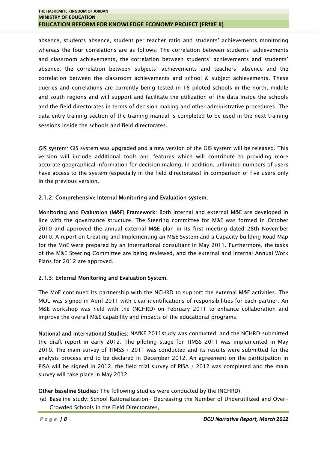absence, students absence, student per teacher ratio and students' achievements monitoring whereas the four correlations are as follows: The correlation between students' achievements and classroom achievements, the correlation between students' achievements and students' absence, the correlation between subjects' achievements and teachers' absence and the correlation between the classroom achievements and school & subject achievements. These queries and correlations are currently being tested in 18 piloted schools in the north, middle and south regions and will support and facilitate the utilization of the data inside the schools and the field directorates in terms of decision making and other administrative procedures. The data entry training section of the training manual is completed to be used in the next training sessions inside the schools and field directorates.

**GIS system:** GIS system was upgraded and a new version of the GIS system will be released. This version will include additional tools and features which will contribute to providing more accurate geographical information for decision making. In addition, unlimited numbers of users have access to the system (especially in the field directorates) in comparison of five users only in the previous version.

# **2.1.2: Comprehensive Internal Monitoring and Evaluation system.**

**Monitoring and Evaluation (M&E) Framework:** Both internal and external M&E are developed in line with the governance structure. The Steering committee for M&E was formed in October 2010 and approved the annual external M&E plan in its first meeting dated 28th November 2010. A report on Creating and Implementing an M&E System and a Capacity building Road Map for the MoE were prepared by an international consultant in May 2011. Furthermore, the tasks of the M&E Steering Committee are being reviewed, and the external and internal Annual Work Plans for 2012 are approved.

# **2.1.3: External Monitoring and Evaluation System.**

The MoE continued its partnership with the NCHRD to support the external M&E activities. The MOU was signed in April 2011 with clear identifications of responsibilities for each partner. An M&E workshop was held with the (NCHRD) on February 2011 to enhance collaboration and improve the overall M&E capability and impacts of the educational programs.

**National and International Studies:** NAfKE 2011study was conducted, and the NCHRD submitted the draft report in early 2012. The piloting stage for TIMSS 2011 was implemented in May 2010. The main survey of TIMSS / 2011 was conducted and its results were submitted for the analysis process and to be declared in December 2012. An agreement on the participation in PISA will be signed in 2012, the field trial survey of PISA / 2012 was completed and the main survey will take place in May 2012.

# **Other baseline Studies:** The following studies were conducted by the (NCHRD):

*P* (a) Baseline Studies: The following studies were conducted by the (NCHRD):<br>
(a) Baseline study: School Rationalization– Decreasing the Number of Underutilized and Over–<br> *P a g e* **| 8**<br> *P a g e* **| 8** (a) Baseline study: School Rationalization- Decreasing the Number of Underutilized and Over- Crowded Schools in the Field Directorates,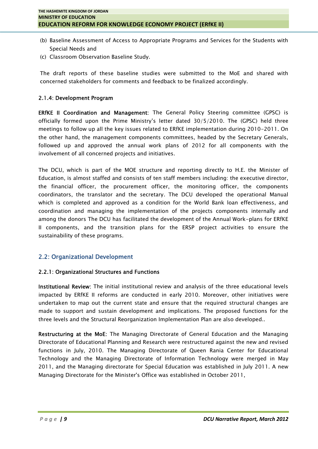- (b) Baseline Assessment of Access to Appropriate Programs and Services for the Students with Special Needs and
- (c) Classroom Observation Baseline Study.

The draft reports of these baseline studies were submitted to the MoE and shared with concerned stakeholders for comments and feedback to be finalized accordingly.

#### **2.1.4: Development Program**

**ERfKE II Coordination and Management:** The General Policy Steering committee (GPSC) is officially formed upon the Prime Ministry's letter dated 30/5/2010. The (GPSC) held three meetings to follow up all the key issues related to ERfKE implementation during 2010-2011. On the other hand, the management components committees, headed by the Secretary Generals, followed up and approved the annual work plans of 2012 for all components with the involvement of all concerned projects and initiatives.

The DCU, which is part of the MOE structure and reporting directly to H.E. the Minister of Education, is almost staffed and consists of ten staff members including: the executive director, the financial officer, the procurement officer, the monitoring officer, the components coordinators, the translator and the secretary. The DCU developed the operational Manual which is completed and approved as a condition for the World Bank loan effectiveness, and coordination and managing the implementation of the projects components internally and among the donors The DCU has facilitated the development of the Annual Work-plans for ERfKE II components, and the transition plans for the ERSP project activities to ensure the sustainability of these programs.

# **2.2: Organizational Development**

#### **2.2.1: Organizational Structures and Functions**

**Institutional Review:** The initial institutional review and analysis of the three educational levels impacted by ERfKE II reforms are conducted in early 2010. Moreover, other initiatives were undertaken to map out the current state and ensure that the required structural changes are made to support and sustain development and implications. The proposed functions for the three levels and the Structural Reorganization Implementation Plan are also developed..

**Restructuring at the MoE:** The Managing Directorate of General Education and the Managing Directorate of Educational Planning and Research were restructured against the new and revised functions in July, 2010. The Managing Directorate of Queen Rania Center for Educational Technology and the Managing Directorate of Information Technology were merged in May 2011, and the Managing directorate for Special Education was established in July 2011. A new Managing Directorate for the Minister's Office was established in October 2011,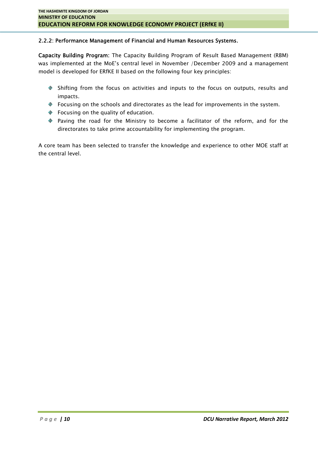#### **2.2.2: Performance Management of Financial and Human Resources Systems.**

**Capacity Building Program:** The Capacity Building Program of Result Based Management (RBM) was implemented at the MoE's central level in November /December 2009 and a management model is developed for ERfKE II based on the following four key principles:

- Shifting from the focus on activities and inputs to the focus on outputs, results and impacts.
- Focusing on the schools and directorates as the lead for improvements in the system.
- ◆ Focusing on the quality of education.
- Paving the road for the Ministry to become a facilitator of the reform, and for the directorates to take prime accountability for implementing the program.

A core team has been selected to transfer the knowledge and experience to other MOE staff at the central level.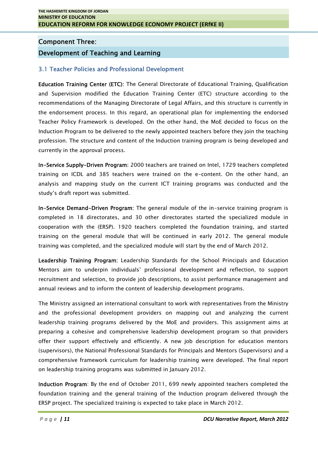# **Component Three:**

# **Development of Teaching and Learning**

## **3.1 Teacher Policies and Professional Development**

**Education Training Center (ETC):** The General Directorate of Educational Training, Qualification and Supervision modified the Education Training Center (ETC) structure according to the recommendations of the Managing Directorate of Legal Affairs, and this structure is currently in the endorsement process. In this regard, an operational plan for implementing the endorsed Teacher Policy Framework is developed. On the other hand, the MoE decided to focus on the Induction Program to be delivered to the newly appointed teachers before they join the teaching profession. The structure and content of the Induction training program is being developed and currently in the approval process.

**In-Service Supply-Driven Program:** 2000 teachers are trained on Intel, 1729 teachers completed training on ICDL and 385 teachers were trained on the e-content. On the other hand, an analysis and mapping study on the current ICT training programs was conducted and the study's draft report was submitted.

**In-Service Demand-Driven Program:** The general module of the in-service training program is completed in 18 directorates, and 30 other directorates started the specialized module in cooperation with the (ERSP). 1920 teachers completed the foundation training, and started training on the general module that will be continued in early 2012. The general module training was completed, and the specialized module will start by the end of March 2012.

**Leadership Training Program:** Leadership Standards for the School Principals and Education Mentors aim to underpin individuals' professional development and reflection, to support recruitment and selection, to provide job descriptions, to assist performance management and annual reviews and to inform the content of leadership development programs.

The Ministry assigned an international consultant to work with representatives from the Ministry and the professional development providers on mapping out and analyzing the current leadership training programs delivered by the MoE and providers. This assignment aims at preparing a cohesive and comprehensive leadership development program so that providers offer their support effectively and efficiently. A new job description for education mentors (supervisors), the National Professional Standards for Principals and Mentors (Supervisors) and a comprehensive framework curriculum for leadership training were developed. The final report on leadership training programs was submitted in January 2012.

**Program:** By the end of October 2011, 699 newly appointed teachers completed the foundation training and the general training of the Induction program delivered through the ERSP project. The specialized training is expect foundation training and the general training of the Induction program delivered through the ERSP project. The specialized training is expected to take place in March 2012.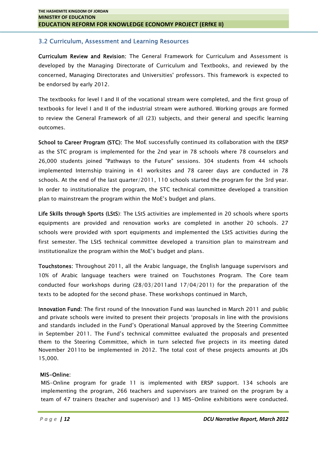# **3.2 Curriculum, Assessment and Learning Resources**

**Curriculum Review and Revision:** The General Framework for Curriculum and Assessment is developed by the Managing Directorate of Curriculum and Textbooks, and reviewed by the concerned, Managing Directorates and Universities' professors. This framework is expected to be endorsed by early 2012.

The textbooks for level I and II of the vocational stream were completed, and the first group of textbooks for level I and II of the industrial stream were authored. Working groups are formed to review the General Framework of all (23) subjects, and their general and specific learning outcomes.

**School to Career Program (STC):** The MoE successfully continued its collaboration with the ERSP as the STC program is implemented for the 2nd year in 78 schools where 78 counselors and 26,000 students joined "Pathways to the Future" sessions. 304 students from 44 schools implemented Internship training in 41 worksites and 78 career days are conducted in 78 schools. At the end of the last quarter/2011, 110 schools started the program for the 3rd year. In order to institutionalize the program, the STC technical committee developed a transition plan to mainstream the program within the MoE's budget and plans.

**Life Skills through Sports (LStS**): The LStS activities are implemented in 20 schools where sports equipments are provided and renovation works are completed in another 20 schools. 27 schools were provided with sport equipments and implemented the LStS activities during the first semester. The LStS technical committee developed a transition plan to mainstream and institutionalize the program within the MoE's budget and plans.

**Touchstones:** Throughout 2011, all the Arabic language, the English language supervisors and 10% of Arabic language teachers were trained on Touchstones Program. The Core team conducted four workshops during (28/03/2011and 17/04/2011) for the preparation of the texts to be adopted for the second phase. These workshops continued in March,

**Innovation Fund:** The first round of the Innovation Fund was launched in March 2011 and public and private schools were invited to present their projects 'proposals in line with the provisions and standards included in the Fund's Operational Manual approved by the Steering Committee in September 2011. The Fund's technical committee evaluated the proposals and presented them to the Steering Committee, which in turn selected five projects in its meeting dated November 2011to be implemented in 2012. The total cost of these projects amounts at JDs 15,000.

#### **MIS-Online:**

*Page* 12<br> *Page* 12<br> *Page* 12<br> *Page* 12<br> *Page* 12 MIS-Online program for grade 11 is implemented with ERSP support. 134 schools are implementing the program, 266 teachers and supervisors are trained on the program by a team of 47 trainers (teacher and supervisor) and 13 MIS-Online exhibitions were conducted.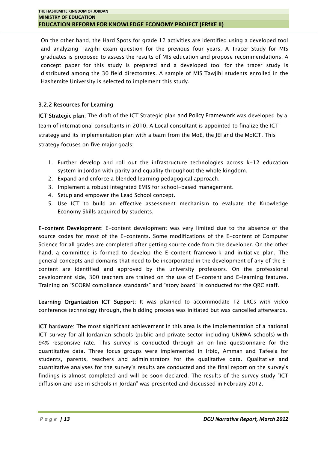On the other hand, the Hard Spots for grade 12 activities are identified using a developed tool and analyzing Tawjihi exam question for the previous four years. A Tracer Study for MIS graduates is proposed to assess the results of MIS education and propose recommendations. A concept paper for this study is prepared and a developed tool for the tracer study is distributed among the 30 field directorates. A sample of MIS Tawjihi students enrolled in the Hashemite University is selected to implement this study.

# **3.2.2 Resources for Learning**

**ICT Strategic plan:** The draft of the ICT Strategic plan and Policy Framework was developed by a team of international consultants in 2010. A Local consultant is appointed to finalize the ICT strategy and its implementation plan with a team from the MoE, the JEI and the MoICT. This strategy focuses on five major goals:

- 1. Further develop and roll out the infrastructure technologies across k-12 education system in Jordan with parity and equality throughout the whole kingdom.
- 2. Expand and enforce a blended learning pedagogical approach.
- 3. Implement a robust integrated EMIS for school-based management.
- 4. Setup and empower the Lead School concept.
- 5. Use ICT to build an effective assessment mechanism to evaluate the Knowledge Economy Skills acquired by students.

**E-content Development:** E-content development was very limited due to the absence of the source codes for most of the E-contents. Some modifications of the E-content of Computer Science for all grades are completed after getting source code from the developer. On the other hand, a committee is formed to develop the E-content framework and initiative plan. The general concepts and domains that need to be incorporated in the development of any of the Econtent are identified and approved by the university professors. On the professional development side, 300 teachers are trained on the use of E-content and E-learning features. Training on "SCORM compliance standards" and "story board" is conducted for the QRC staff.

**Learning Organization ICT Support:** It was planned to accommodate 12 LRCs with video conference technology through, the bidding process was initiated but was cancelled afterwards.

*P a g e <sup>|</sup> <sup>13</sup> DCU Narrative Report, March 2012* **ICT hardware:** The most significant achievement in this area is the implementation of a national ICT survey for all Jordanian schools (public and private sector including UNRWA schools) with 94% responsive rate. This survey is conducted through an on-line questionnaire for the quantitative data. Three focus groups were implemented in Irbid, Amman and Tafeela for students, parents, teachers and administrators for the qualitative data. Qualitative and quantitative analyses for the survey's results are conducted and the final report on the survey's findings is almost completed and will be soon declared. The results of the survey study "ICT diffusion and use in schools in Jordan" was presented and discussed in February 2012.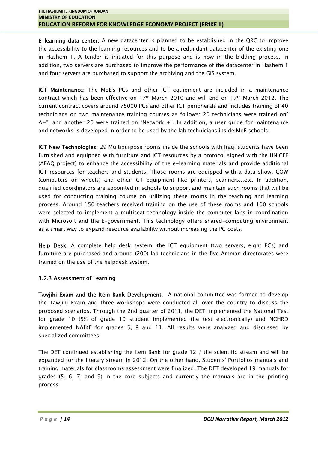**E-learning data center:** A new datacenter is planned to be established in the QRC to improve the accessibility to the learning resources and to be a redundant datacenter of the existing one in Hashem 1. A tender is initiated for this purpose and is now in the bidding process. In addition, two servers are purchased to improve the performance of the datacenter in Hashem 1 and four servers are purchased to support the archiving and the GIS system.

**ICT Maintenance:** The MoE's PCs and other ICT equipment are included in a maintenance contract which has been effective on 17th March 2010 and will end on 17th March 2012. The current contract covers around 75000 PCs and other ICT peripherals and includes training of 40 technicians on two maintenance training courses as follows: 20 technicians were trained on"  $A+$ ", and another 20 were trained on "Network  $+$ ". In addition, a user guide for maintenance and networks is developed in order to be used by the lab technicians inside MoE schools.

**ICT New Technologies:** 29 Multipurpose rooms inside the schools with Iraqi students have been furnished and equipped with furniture and ICT resources by a protocol signed with the UNICEF (AFAQ project) to enhance the accessibility of the e-learning materials and provide additional ICT resources for teachers and students. Those rooms are equipped with a data show, COW (computers on wheels) and other ICT equipment like printers, scanners...etc. In addition, qualified coordinators are appointed in schools to support and maintain such rooms that will be used for conducting training course on utilizing these rooms in the teaching and learning process. Around 150 teachers received training on the use of these rooms and 100 schools were selected to implement a multiseat technology inside the computer labs in coordination with Microsoft and the E-government. This technology offers shared-computing environment as a smart way to expand resource availability without increasing the PC costs.

**Help Desk:** A complete help desk system, the ICT equipment (two servers, eight PCs) and furniture are purchased and around (200) lab technicians in the five Amman directorates were trained on the use of the helpdesk system.

# **3.2.3 Assessment of Learning**

**Tawjihi Exam and the Item Bank Development:** A national committee was formed to develop the Tawjihi Exam and three workshops were conducted all over the country to discuss the proposed scenarios. Through the 2nd quarter of 2011, the DET implemented the National Test for grade 10 (5% of grade 10 student implemented the test electronically) and NCHRD implemented NAfKE for grades 5, 9 and 11. All results were analyzed and discussed by specialized committees.

*P a g e <sup>|</sup> <sup>14</sup> DCU Narrative Report, March 2012* The DET continued establishing the Item Bank for grade 12 / the scientific stream and will be expanded for the literary stream in 2012. On the other hand, Students' Portfolios manuals and training materials for classrooms assessment were finalized. The DET developed 19 manuals for grades (5, 6, 7, and 9) in the core subjects and currently the manuals are in the printing process.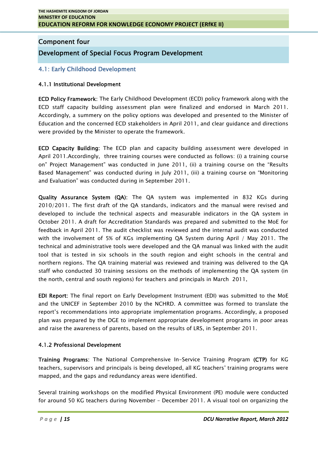# **Component four**

# **Development of Special Focus Program Development**

# **4.1: Early Childhood Development**

## **4.1.1 Institutional Development**

**ECD Policy Framework:** The Early Childhood Development (ECD) policy framework along with the ECD staff capacity building assessment plan were finalized and endorsed in March 2011. Accordingly, a summery on the policy options was developed and presented to the Minister of Education and the concerned ECD stakeholders in April 2011, and clear guidance and directions were provided by the Minister to operate the framework.

**ECD Capacity Building:** The ECD plan and capacity building assessment were developed in April 2011.Accordingly, three training courses were conducted as follows: (i) a training course on" Project Management" was conducted in June 2011, (ii) a training course on the "Results Based Management" was conducted during in July 2011, (iii) a training course on "Monitoring and Evaluation" was conducted during in September 2011.

**Quality Assurance System (QA):** The QA system was implemented in 832 KGs during 2010/2011. The first draft of the QA standards, indicators and the manual were revised and developed to include the technical aspects and measurable indicators in the QA system in October 2011. A draft for Accreditation Standards was prepared and submitted to the MoE for feedback in April 2011. The audit checklist was reviewed and the internal audit was conducted with the involvement of 5% of KGs implementing QA System during April / May 2011. The technical and administrative tools were developed and the QA manual was linked with the audit tool that is tested in six schools in the south region and eight schools in the central and northern regions. The QA training material was reviewed and training was delivered to the QA staff who conducted 30 training sessions on the methods of implementing the QA system (in the north, central and south regions) for teachers and principals in March 2011**.**

**EDI Report:** The final report on Early Development Instrument (EDI) was submitted to the MoE and the UNICEF in September 2010 by the NCHRD. A committee was formed to translate the report's recommendations into appropriate implementation programs. Accordingly, a proposed plan was prepared by the DGE to implement appropriate development programs in poor areas and raise the awareness of parents, based on the results of LRS, in September 2011.

# **4.1.2 Professional Development**

**Training Programs:** The National Comprehensive In-Service Training Program **(CTP)** for KG teachers, supervisors and principals is being developed, all KG teachers' training programs were mapped, and the gaps and redundancy areas were identified.

*P* a g e 115 *P a g e 115 P a g e 115 P P P a g e 115 P a g e 115 D D D DCU Narrative Report, March 2012* Several training workshops on the modified Physical Environment (PE) module were conducted for around 50 KG teachers during November – December 2011. A visual tool on organizing the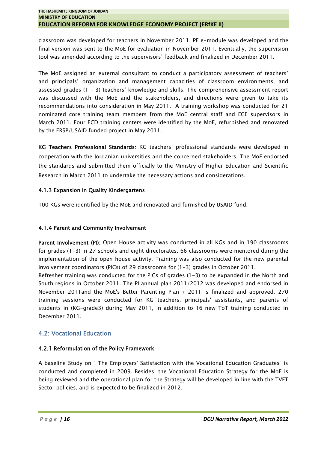classroom was developed for teachers in November 2011, PE e-module was developed and the final version was sent to the MoE for evaluation in November 2011. Eventually, the supervision tool was amended according to the supervisors' feedback and finalized in December 2011.

The MoE assigned an external consultant to conduct a participatory assessment of teachers' and principals' organization and management capacities of classroom environments, and assessed grades (1 – 3) teachers' knowledge and skills. The comprehensive assessment report was discussed with the MoE and the stakeholders, and directions were given to take its recommendations into consideration in May 2011. A training workshop was conducted for 21 nominated core training team members from the MoE central staff and ECE supervisors in March 2011. Four ECD training centers were identified by the MoE, refurbished and renovated by the ERSP/USAID funded project in May 2011.

**KG Teachers Professional Standards:** KG teachers' professional standards were developed in cooperation with the Jordanian universities and the concerned stakeholders. The MoE endorsed the standards and submitted them officially to the Ministry of Higher Education and Scientific Research in March 2011 to undertake the necessary actions and considerations.

# **4.1.3 Expansion in Quality Kindergartens**

100 KGs were identified by the MoE and renovated and furnished by USAID fund.

# **4.1.4 Parent and Community Involvement**

**Parent Involvement (PI):** Open House activity was conducted in all KGs and in 190 classrooms for grades (1-3) in 27 schools and eight directorates. 66 classrooms were mentored during the implementation of the open house activity. Training was also conducted for the new parental involvement coordinators (PICs) of 29 classrooms for (1-3) grades in October 2011.

Refresher training was conducted for the PICs of grades (1-3) to be expanded in the North and South regions in October 2011. The PI annual plan 2011/2012 was developed and endorsed in November 2011and the MoE's Better Parenting Plan / 2011 is finalized and approved. 270 training sessions were conducted for KG teachers, principals' assistants, and parents of students in (KG-grade3) during May 2011, in addition to 16 new ToT training conducted in December 2011.

# **4.2: Vocational Education**

# **4.2.1 Reformulation of the Policy Framework**

*P a g e | 16 P a g e | 16 P a g e | 16 P a g e | 16 CO P DCU Narrative Report, March* 2012 A baseline Study on " The Employers' Satisfaction with the Vocational Education Graduates" is conducted and completed in 2009. Besides, the Vocational Education Strategy for the MoE is being reviewed and the operational plan for the Strategy will be developed in line with the TVET Sector policies, and is expected to be finalized in 2012.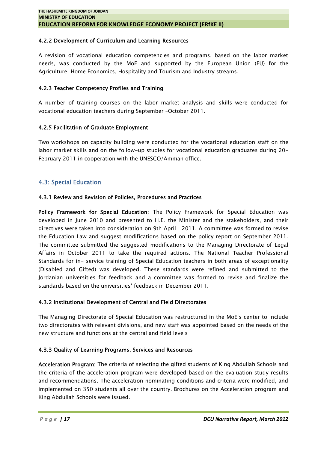#### **4.2.2 Development of Curriculum and Learning Resources**

A revision of vocational education competencies and programs, based on the labor market needs, was conducted by the MoE and supported by the European Union (EU) for the Agriculture, Home Economics, Hospitality and Tourism and Industry streams.

#### **4.2.3 Teacher Competency Profiles and Training**

A number of training courses on the labor market analysis and skills were conducted for vocational education teachers during September –October 2011.

#### **4.2.5 Facilitation of Graduate Employment**

Two workshops on capacity building were conducted for the vocational education staff on the labor market skills and on the follow-up studies for vocational education graduates during 20- February 2011 in cooperation with the UNESCO/Amman office.

#### **4.3: Special Education**

#### **4.3.1 Review and Revision of Policies, Procedures and Practices**

**Policy Framework for Special Education:** The Policy Framework for Special Education was developed in June 2010 and presented to H.E. the Minister and the stakeholders, and their directives were taken into consideration on 9th April 2011. A committee was formed to revise the Education Law and suggest modifications based on the policy report on September 2011. The committee submitted the suggested modifications to the Managing Directorate of Legal Affairs in October 2011 to take the required actions. The National Teacher Professional Standards for in- service training of Special Education teachers in both areas of exceptionality (Disabled and Gifted) was developed. These standards were refined and submitted to the Jordanian universities for feedback and a committee was formed to revise and finalize the standards based on the universities' feedback in December 2011.

#### **4.3.2 Institutional Development of Central and Field Directorates**

The Managing Directorate of Special Education was restructured in the MoE's center to include two directorates with relevant divisions, and new staff was appointed based on the needs of the new structure and functions at the central and field levels

#### **4.3.3 Quality of Learning Programs, Services and Resources**

and recommendations. The acceleration nominating conditions and criteria were modified, and<br> *P* a g e *|* 17<br> *P* a g e *|* 17<br> *P* a g e *|* 17 **Acceleration Program:** The criteria of selecting the gifted students of King Abdullah Schools and the criteria of the acceleration program were developed based on the evaluation study results and recommendations. The acceleration nominating conditions and criteria were modified, and implemented on 350 students all over the country. Brochures on the Acceleration program and King Abdullah Schools were issued.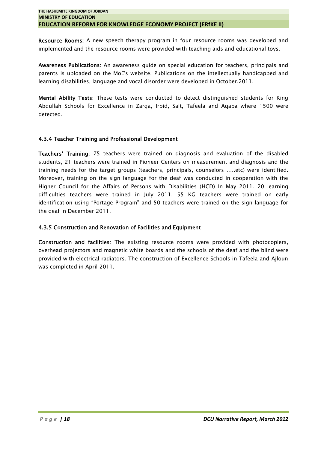**Resource Rooms:** A new speech therapy program in four resource rooms was developed and implemented and the resource rooms were provided with teaching aids and educational toys.

**Awareness Publications:** An awareness guide on special education for teachers, principals and parents is uploaded on the MoE's website. Publications on the intellectually handicapped and learning disabilities, language and vocal disorder were developed in October.2011.

**Mental Ability Tests:** These tests were conducted to detect distinguished students for King Abdullah Schools for Excellence in Zarqa, Irbid, Salt, Tafeela and Aqaba where 1500 were detected.

#### **4.3.4 Teacher Training and Professional Development**

**Teachers' Training:** 75 teachers were trained on diagnosis and evaluation of the disabled students, 21 teachers were trained in Pioneer Centers on measurement and diagnosis and the training needs for the target groups (teachers, principals, counselors …..etc) were identified. Moreover, training on the sign language for the deaf was conducted in cooperation with the Higher Council for the Affairs of Persons with Disabilities (HCD) In May 2011. 20 learning difficulties teachers were trained in July 2011, 55 KG teachers were trained on early identification using "Portage Program" and 50 teachers were trained on the sign language for the deaf in December 2011.

## **4.3.5 Construction and Renovation of Facilities and Equipment**

**Construction and facilities:** The existing resource rooms were provided with photocopiers, overhead projectors and magnetic white boards and the schools of the deaf and the blind were provided with electrical radiators. The construction of Excellence Schools in Tafeela and Ajloun was completed in April 2011.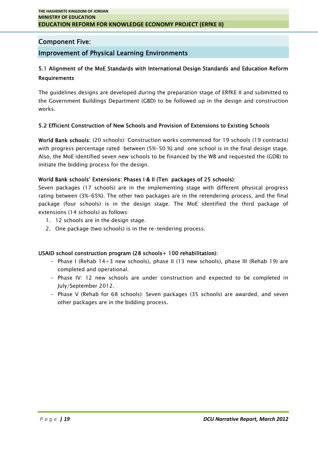# **Component Five:**

# **Improvement of Physical Learning Environments**

# **5.1 Alignment of the MoE Standards with International Design Standards and Education Reform Requirements**

The guidelines designs are developed during the preparation stage of ERfKE II and submitted to the Government Buildings Department (GBD) to be followed up in the design and construction works.

#### **5.2 Efficient Construction of New Schools and Provision of Extensions to Existing Schools**

**World Bank schools:** (20 schools): Construction works commenced for 19 schools (19 contracts) with progress percentage rated between (5%-50 %) and one school is in the final design stage. Also, the MoE identified seven new schools to be financed by the WB and requested the (GDB) to initiate the bidding process for the design.

#### **World Bank schools' Extensions: Phases I & II (Ten packages of 25 schools):**

Seven packages (17 schools) are in the implementing stage with different physical progress rating between (3%-65%). The other two packages are in the retendering process, and the final package (four schools) is in the design stage. The MoE identified the third package of extensions (14 schools) as follows:

- 1. 12 schools are in the design stage.
- 2. One package (two schools) is in the re-tendering process.

#### **USAID school construction program (28 schools+ 100 rehabilitation):**

- Phase I (Rehab 14+3 new schools), phase II (13 new schools), phase III (Rehab 19) are completed and operational.
- Phase IV: 12 new schools are under construction and expected to be completed in July/September 2012.
- Phase V (Rehab for 68 schools): Seven packages (35 schools) are awarded, and seven other packages are in the bidding process.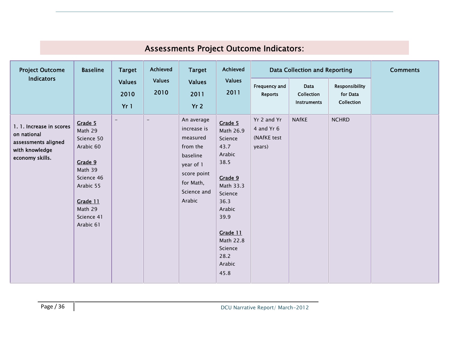| <b>Project Outcome</b>                                                                              | <b>Baseline</b>                                                                                                                                  | <b>Target</b>                | Achieved              | <b>Target</b>                                                                                                                   | Achieved                                                                                                                                                                             |                                                    | Data Collection and Reporting     |                                          | <b>Comments</b> |
|-----------------------------------------------------------------------------------------------------|--------------------------------------------------------------------------------------------------------------------------------------------------|------------------------------|-----------------------|---------------------------------------------------------------------------------------------------------------------------------|--------------------------------------------------------------------------------------------------------------------------------------------------------------------------------------|----------------------------------------------------|-----------------------------------|------------------------------------------|-----------------|
| <b>Indicators</b>                                                                                   |                                                                                                                                                  | <b>Values</b><br>2010<br>Yr1 | <b>Values</b><br>2010 | <b>Values</b><br>2011<br>Yr <sub>2</sub>                                                                                        | <b>Values</b><br>2011                                                                                                                                                                | Frequency and<br><b>Reports</b>                    | Data<br>Collection<br>Instruments | Responsibility<br>for Data<br>Collection |                 |
| 1. 1. Increase in scores<br>on national<br>assessments aligned<br>with knowledge<br>economy skills. | Grade 5<br>Math 29<br>Science 50<br>Arabic 60<br>Grade 9<br>Math 39<br>Science 46<br>Arabic 55<br>Grade 11<br>Math 29<br>Science 41<br>Arabic 61 | $\overline{\phantom{m}}$     | $\qquad \qquad -$     | An average<br>increase is<br>measured<br>from the<br>baseline<br>year of 1<br>score point<br>for Math,<br>Science and<br>Arabic | Grade 5<br>Math 26.9<br>Science<br>43.7<br>Arabic<br>38.5<br>Grade 9<br>Math 33.3<br>Science<br>36.3<br>Arabic<br>39.9<br>Grade 11<br>Math 22.8<br>Science<br>28.2<br>Arabic<br>45.8 | Yr 2 and Yr<br>4 and Yr 6<br>(NAfKE test<br>years) | <b>NAfKE</b>                      | <b>NCHRD</b>                             |                 |

# **Assessments Project Outcome Indicators:**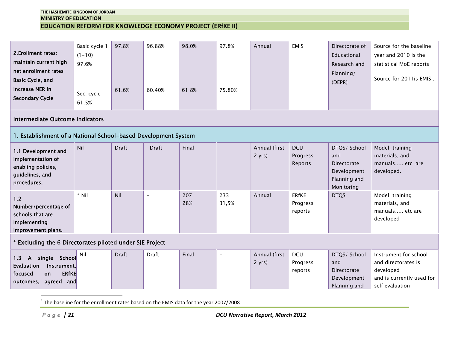| 2. Erollment rates:<br>maintain current high<br>net enrollment rates<br>Basic Cycle, and<br>increase NER in<br><b>Secondary Cycle</b> | Basic cycle 1<br>$(1 - 10)$<br>97.6%<br>Sec. cycle<br>61.5%                         | 97.8%<br>61.6% | 96.88%<br>60.40% | 98.0%<br>618% | 97.8%<br>75.80% | Annual                                  | <b>EMIS</b>                         | Directorate of<br>Educational<br>Research and<br>Planning/<br>(DEPR)                   | Source for the baseline<br>year and 2010 is the<br>statistical MoE reports<br>Source for 2011is EMIS.     |
|---------------------------------------------------------------------------------------------------------------------------------------|-------------------------------------------------------------------------------------|----------------|------------------|---------------|-----------------|-----------------------------------------|-------------------------------------|----------------------------------------------------------------------------------------|-----------------------------------------------------------------------------------------------------------|
| Intermediate Outcome Indicators                                                                                                       |                                                                                     |                |                  |               |                 |                                         |                                     |                                                                                        |                                                                                                           |
| 1. Establishment of a National School-based Development System                                                                        |                                                                                     |                |                  |               |                 |                                         |                                     |                                                                                        |                                                                                                           |
| 1.1 Development and<br>implementation of<br>enabling policies,<br>guidelines, and<br>procedures.                                      | Nil                                                                                 | <b>Draft</b>   | <b>Draft</b>     | Final         |                 | Annual (first<br>2 yrs)                 | <b>DCU</b><br>Progress<br>Reports   | DTQS/ School<br>and<br><b>Directorate</b><br>Development<br>Planning and<br>Monitoring | Model, training<br>materials, and<br>manuals etc are<br>developed.                                        |
| 1.2<br>Number/percentage of<br>schools that are<br>implementing<br>improvement plans.                                                 | $*$ Nil                                                                             | Nil            | $\equiv$         | 207<br>28%    | 233<br>31,5%    | Annual                                  | <b>ERfKE</b><br>Progress<br>reports | <b>DTQS</b>                                                                            | Model, training<br>materials, and<br>manuals etc are<br>developed                                         |
| * Excluding the 6 Directorates piloted under SJE Project                                                                              |                                                                                     |                |                  |               |                 |                                         |                                     |                                                                                        |                                                                                                           |
| single School<br>1.3<br>$\mathsf{A}$<br>Evaluation<br>Instrument,<br><b>ERfKE</b><br>focused<br>on<br>agreed and<br>outcomes,         | Nil                                                                                 | <b>Draft</b>   | Draft            | Final         | $\rightarrow$   | Annual (first<br>2 yrs)                 | <b>DCU</b><br>Progress<br>reports   | DTQS/ School<br>and<br>Directorate<br>Development<br>Planning and                      | Instrument for school<br>and directorates is<br>developed<br>and is currently used for<br>self evaluation |
| $P \alpha \theta e$   21                                                                                                              | The baseline for the enrollment rates based on the EMIS data for the year 2007/2008 |                |                  |               |                 | <b>DCU Narrative Report, March 2012</b> |                                     |                                                                                        |                                                                                                           |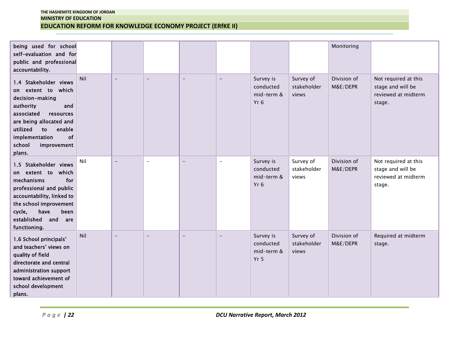| being used for school<br>self-evaluation and for<br>public and professional<br>accountability.                                                                                                                                  |     |                |                          |                          |                          |                                                         |                                   | Monitoring              |                                                                            |
|---------------------------------------------------------------------------------------------------------------------------------------------------------------------------------------------------------------------------------|-----|----------------|--------------------------|--------------------------|--------------------------|---------------------------------------------------------|-----------------------------------|-------------------------|----------------------------------------------------------------------------|
| 1.4 Stakeholder views<br>on extent to which<br>decision-making<br>authority<br>and<br>associated<br>resources<br>are being allocated and<br>utilized<br>enable<br>to<br>implementation<br>of<br>school<br>improvement<br>plans. | Nil | $\equiv$       | $\overline{\phantom{0}}$ | $\overline{\phantom{0}}$ | $\equiv$                 | Survey is<br>conducted<br>mid-term &<br>$Yr$ 6          | Survey of<br>stakeholder<br>views | Division of<br>M&E/DEPR | Not required at this<br>stage and will be<br>reviewed at midterm<br>stage. |
| 1.5 Stakeholder views<br>extent to<br>which<br>on<br>for<br>mechanisms<br>professional and public<br>accountability, linked to<br>the school improvement<br>cycle,<br>have<br>been<br>established and<br>are<br>functioning.    | Nil | $\overline{a}$ | $\equiv$                 | $\equiv$                 | $\overline{a}$           | Survey is<br>conducted<br>mid-term &<br>$Yr$ 6          | Survey of<br>stakeholder<br>views | Division of<br>M&E/DEPR | Not required at this<br>stage and will be<br>reviewed at midterm<br>stage. |
| 1.6 School principals'<br>and teachers' views on<br>quality of field<br>directorate and central<br>administration support<br>toward achievement of<br>school development<br>plans.                                              | Nil | $\equiv$       | $\equiv$                 | $=$                      | $\overline{\phantom{0}}$ | Survey is<br>conducted<br>mid-term &<br>Yr <sub>5</sub> | Survey of<br>stakeholder<br>views | Division of<br>M&E/DEPR | Required at midterm<br>stage.                                              |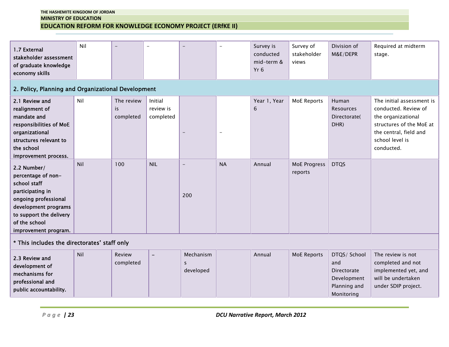| 1.7 External<br>stakeholder assessment<br>of graduate knowledge<br>economy skills                                                                                                                                 | Nil                                                |                                |                                   |                                 |                   | Survey is<br>conducted<br>mid-term &<br>Yr <sub>6</sub> | Survey of<br>stakeholder<br>views | Division of<br>M&E/DEPR                                                         | Required at midterm<br>stage.                                                                                                                                  |  |  |  |
|-------------------------------------------------------------------------------------------------------------------------------------------------------------------------------------------------------------------|----------------------------------------------------|--------------------------------|-----------------------------------|---------------------------------|-------------------|---------------------------------------------------------|-----------------------------------|---------------------------------------------------------------------------------|----------------------------------------------------------------------------------------------------------------------------------------------------------------|--|--|--|
|                                                                                                                                                                                                                   | 2. Policy, Planning and Organizational Development |                                |                                   |                                 |                   |                                                         |                                   |                                                                                 |                                                                                                                                                                |  |  |  |
| 2.1 Review and<br>realignment of<br>mandate and<br>responsibilities of MoE<br>organizational<br>structures relevant to<br>the school                                                                              | Nil                                                | The review<br>is.<br>completed | Initial<br>review is<br>completed | $\overline{\phantom{m}}$        | $\qquad \qquad -$ | Year 1, Year<br>$6\phantom{1}$                          | <b>MoE Reports</b>                | Human<br>Resources<br>Directorate(<br>DHR)                                      | The initial assessment is<br>conducted. Review of<br>the organizational<br>structures of the MoE at<br>the central, field and<br>school level is<br>conducted. |  |  |  |
| improvement process.<br>2.2 Number/<br>percentage of non-<br>school staff<br>participating in<br>ongoing professional<br>development programs<br>to support the delivery<br>of the school<br>improvement program. | Nil                                                | 100                            | <b>NIL</b>                        | $\overline{\phantom{0}}$<br>200 | <b>NA</b>         | Annual                                                  | <b>MoE Progress</b><br>reports    | <b>DTQS</b>                                                                     |                                                                                                                                                                |  |  |  |
| * This includes the directorates' staff only                                                                                                                                                                      |                                                    |                                |                                   |                                 |                   |                                                         |                                   |                                                                                 |                                                                                                                                                                |  |  |  |
| 2.3 Review and<br>development of<br>mechanisms for<br>professional and<br>public accountability.                                                                                                                  | Nil                                                | Review<br>completed            | $\overline{\phantom{a}}$          | Mechanism<br>s.<br>developed    |                   | Annual                                                  | <b>MoE Reports</b>                | DTQS/ School<br>and<br>Directorate<br>Development<br>Planning and<br>Monitoring | The review is not<br>completed and not<br>implemented yet, and<br>will be undertaken<br>under SDIP project.                                                    |  |  |  |
| $P \alpha \theta e$   23                                                                                                                                                                                          |                                                    |                                |                                   |                                 |                   | <b>DCU Narrative Report, March 2012</b>                 |                                   |                                                                                 |                                                                                                                                                                |  |  |  |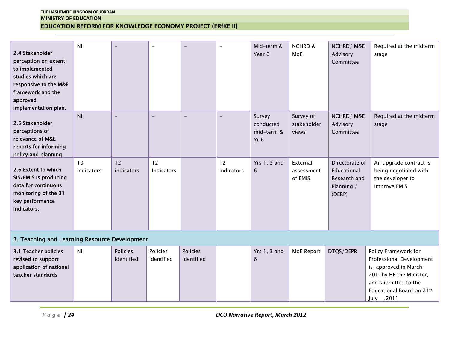| Nil<br><b>NCHRD &amp;</b><br>Mid-term &<br>NCHRD/M&E<br>Required at the midterm<br>$\rightarrow$<br>L<br>2.4 Stakeholder<br>Year 6<br>MoE<br>Advisory<br>stage<br>perception on extent<br>Committee<br>to implemented<br>studies which are<br>responsive to the M&E<br>framework and the<br>approved<br>implementation plan.<br>Nil<br>Survey of<br>NCHRD/M&E<br>Required at the midterm<br>Survey<br>$\overline{\phantom{0}}$<br>$\overline{\phantom{0}}$<br>$\equiv$<br>$\equiv$<br>2.5 Stakeholder<br>conducted<br>stakeholder<br>Advisory<br>stage<br>perceptions of<br>mid-term &<br>Committee<br>views<br>relevance of M&E<br>Yr 6<br>reports for informing<br>policy and planning.<br>12<br>12<br>12<br>10<br><b>Yrs 1, 3 and</b><br>Directorate of<br>An upgrade contract is<br>External<br>2.6 Extent to which<br>indicators<br>indicators<br>Indicators<br>Indicators<br>being negotiated with<br>Educational<br>6<br>assessment<br>SIS/EMIS is producing<br>of EMIS<br>the developer to<br>Research and<br>data for continuous<br>Planning /<br>improve EMIS<br>monitoring of the 31<br>(DERP)<br>key performance<br>indicators.<br>3. Teaching and Learning Resource Development<br>Policies<br>Policies<br>Policies<br>Yrs 1, 3 and<br>MoE Report<br>DTQS/DEPR<br>Policy Framework for<br>3.1 Teacher policies<br>Nil<br>identified<br>identified<br>identified<br>Professional Development<br>revised to support<br>6<br>application of national<br>is approved in March<br>2011by HE the Minister,<br>teacher standards<br>and submitted to the<br>Educational Board on 21st<br>July , 2011<br>Page $ 24$<br><b>DCU Narrative Report, March 2012</b> |  |  |  |  |  |  |  |  |  |  |  |  |
|---------------------------------------------------------------------------------------------------------------------------------------------------------------------------------------------------------------------------------------------------------------------------------------------------------------------------------------------------------------------------------------------------------------------------------------------------------------------------------------------------------------------------------------------------------------------------------------------------------------------------------------------------------------------------------------------------------------------------------------------------------------------------------------------------------------------------------------------------------------------------------------------------------------------------------------------------------------------------------------------------------------------------------------------------------------------------------------------------------------------------------------------------------------------------------------------------------------------------------------------------------------------------------------------------------------------------------------------------------------------------------------------------------------------------------------------------------------------------------------------------------------------------------------------------------------------------------------------------------------------------------------------------------------------|--|--|--|--|--|--|--|--|--|--|--|--|
|                                                                                                                                                                                                                                                                                                                                                                                                                                                                                                                                                                                                                                                                                                                                                                                                                                                                                                                                                                                                                                                                                                                                                                                                                                                                                                                                                                                                                                                                                                                                                                                                                                                                     |  |  |  |  |  |  |  |  |  |  |  |  |
|                                                                                                                                                                                                                                                                                                                                                                                                                                                                                                                                                                                                                                                                                                                                                                                                                                                                                                                                                                                                                                                                                                                                                                                                                                                                                                                                                                                                                                                                                                                                                                                                                                                                     |  |  |  |  |  |  |  |  |  |  |  |  |
|                                                                                                                                                                                                                                                                                                                                                                                                                                                                                                                                                                                                                                                                                                                                                                                                                                                                                                                                                                                                                                                                                                                                                                                                                                                                                                                                                                                                                                                                                                                                                                                                                                                                     |  |  |  |  |  |  |  |  |  |  |  |  |
|                                                                                                                                                                                                                                                                                                                                                                                                                                                                                                                                                                                                                                                                                                                                                                                                                                                                                                                                                                                                                                                                                                                                                                                                                                                                                                                                                                                                                                                                                                                                                                                                                                                                     |  |  |  |  |  |  |  |  |  |  |  |  |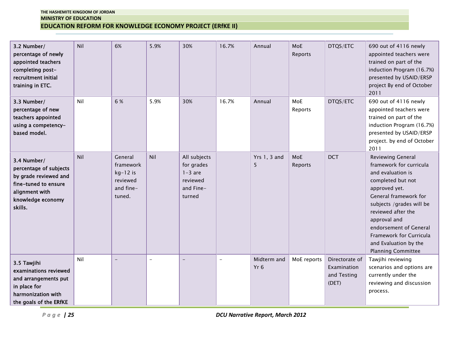| 3.2 Number/<br>percentage of newly<br>appointed teachers<br>completing post-<br>recruitment initial<br>training in ETC.                  | Nil | 6%                                                                    | 5.9%                     | 30%                                                                        | 16.7%    | Annual                                  | MoE<br>Reports | DTQS/ETC                                              | 690 out of 4116 newly<br>appointed teachers were<br>trained on part of the<br>induction Program (16.7%)<br>presented by USAID/ERSP<br>project By end of October<br>2011                                                                                                                                       |
|------------------------------------------------------------------------------------------------------------------------------------------|-----|-----------------------------------------------------------------------|--------------------------|----------------------------------------------------------------------------|----------|-----------------------------------------|----------------|-------------------------------------------------------|---------------------------------------------------------------------------------------------------------------------------------------------------------------------------------------------------------------------------------------------------------------------------------------------------------------|
| 3.3 Number/<br>percentage of new<br>teachers appointed<br>using a competency-<br>based model.                                            | Nil | 6 %                                                                   | 5.9%                     | 30%                                                                        | 16.7%    | Annual                                  | MoE<br>Reports | DTQS/ETC                                              | 690 out of 4116 newly<br>appointed teachers were<br>trained on part of the<br>induction Program (16.7%)<br>presented by USAID/ERSP<br>project. by end of October<br>2011                                                                                                                                      |
| 3.4 Number/<br>percentage of subjects<br>by grade reviewed and<br>fine-tuned to ensure<br>alignment with<br>knowledge economy<br>skills. | Nil | General<br>framework<br>$kg-12$ is<br>reviewed<br>and fine-<br>tuned. | Nil                      | All subjects<br>for grades<br>$1-3$ are<br>reviewed<br>and Fine-<br>turned |          | <b>Yrs 1, 3 and</b><br>5                | MoE<br>Reports | <b>DCT</b>                                            | Reviewing General<br>framework for curricula<br>and evaluation is<br>completed but not<br>approved yet.<br>General framework for<br>subjects /grades will be<br>reviewed after the<br>approval and<br>endorsement of General<br>Framework for Curricula<br>and Evaluation by the<br><b>Planning Committee</b> |
| 3.5 Tawjihi<br>examinations reviewed<br>and arrangements put<br>in place for<br>harmonization with<br>the goals of the ERfKE             | Nil | $\overline{\phantom{0}}$                                              | $\overline{\phantom{a}}$ | $\equiv$                                                                   | $\equiv$ | Midterm and<br>Yr <sub>6</sub>          | MoE reports    | Directorate of<br>Examination<br>and Testing<br>(DET) | Tawjihi reviewing<br>scenarios and options are<br>currently under the<br>reviewing and discussion<br>process.                                                                                                                                                                                                 |
| $P \alpha \theta e$   25                                                                                                                 |     |                                                                       |                          |                                                                            |          | <b>DCU Narrative Report, March 2012</b> |                |                                                       |                                                                                                                                                                                                                                                                                                               |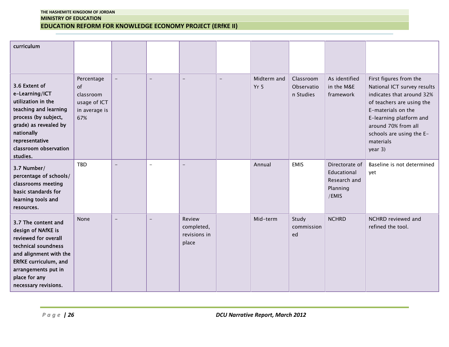| curriculum                                                                                                                                                                                                         |                                                                       |                |                          |                                               |                          |                                         |                                      |                                                                    |                                                                                                                                                                                                                                             |
|--------------------------------------------------------------------------------------------------------------------------------------------------------------------------------------------------------------------|-----------------------------------------------------------------------|----------------|--------------------------|-----------------------------------------------|--------------------------|-----------------------------------------|--------------------------------------|--------------------------------------------------------------------|---------------------------------------------------------------------------------------------------------------------------------------------------------------------------------------------------------------------------------------------|
| 3.6 Extent of<br>e-Learning/ICT<br>utilization in the<br>teaching and learning<br>process (by subject,<br>grade) as revealed by<br>nationally<br>representative<br>classroom observation<br>studies.               | Percentage<br>of<br>classroom<br>usage of ICT<br>in average is<br>67% | $\equiv$       | $\equiv$                 | $\overline{\phantom{0}}$                      | $\overline{\phantom{a}}$ | Midterm and<br>Yr 5                     | Classroom<br>Observatio<br>n Studies | As identified<br>in the M&E<br>framework                           | First figures from the<br>National ICT survey results<br>indicates that around 32%<br>of teachers are using the<br>E-materials on the<br>E-learning platform and<br>around 70% from all<br>schools are using the E-<br>materials<br>year 3) |
| 3.7 Number/<br>percentage of schools/<br>classrooms meeting<br>basic standards for<br>learning tools and<br>resources.                                                                                             | <b>TBD</b>                                                            | $\equiv$       | $\overline{a}$           | $-$                                           |                          | Annual                                  | <b>EMIS</b>                          | Directorate of<br>Educational<br>Research and<br>Planning<br>/EMIS | Baseline is not determined<br>yet                                                                                                                                                                                                           |
| 3.7 The content and<br>design of NAfKE is<br>reviewed for overall<br>technical soundness<br>and alignment with the<br><b>ERfKE</b> curriculum, and<br>arrangements put in<br>place for any<br>necessary revisions. | None                                                                  | $\overline{a}$ | $\overline{\phantom{0}}$ | Review<br>completed,<br>revisions in<br>place |                          | Mid-term                                | Study<br>commission<br>ed            | <b>NCHRD</b>                                                       | NCHRD reviewed and<br>refined the tool.                                                                                                                                                                                                     |
| $P$ age   26                                                                                                                                                                                                       |                                                                       |                |                          |                                               |                          | <b>DCU Narrative Report, March 2012</b> |                                      |                                                                    |                                                                                                                                                                                                                                             |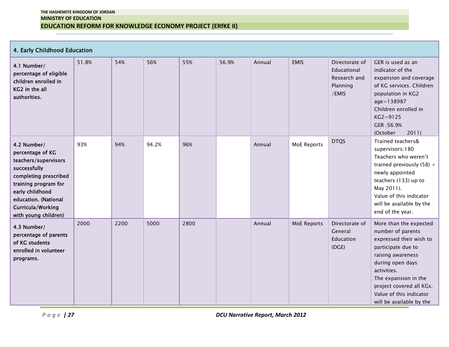**4. Early Childhood Education**

| 4.1 Number/<br>percentage of eligible<br>children enrolled in<br>KG2 in the all<br>authorities.                                                                                                                  | 51.8% | 54%  | 56%   | 55%  | 56.9% | Annual                                  | <b>EMIS</b>        | Directorate of<br>Educational<br>Research and<br>Planning<br>/EMIS | GER is used as an<br>indicator of the<br>expansion and coverage<br>of KG services. Children<br>population in KG2<br>age=138987<br>Children enrolled in<br>$KG2 = 9125$<br>GER: 56.9%<br>(October<br>2011)                                                       |
|------------------------------------------------------------------------------------------------------------------------------------------------------------------------------------------------------------------|-------|------|-------|------|-------|-----------------------------------------|--------------------|--------------------------------------------------------------------|-----------------------------------------------------------------------------------------------------------------------------------------------------------------------------------------------------------------------------------------------------------------|
| 4.2 Number/<br>percentage of KG<br>teachers/supervisors<br>successfully<br>completing prescribed<br>training program for<br>early childhood<br>education. (National<br>Curricula/Working<br>with young children) | 93%   | 94%  | 94.2% | 96%  |       | Annual                                  | <b>MoE Reports</b> | <b>DTQS</b>                                                        | Trained teachers&<br>supervisors:180<br>Teachers who weren't<br>trained previously $(58) +$<br>newly appointed<br>teachers (133) up to<br>May 2011).<br>Value of this indicator<br>will be available by the<br>end of the year.                                 |
| 4.3 Number/<br>percentage of parents<br>of KG students<br>enrolled in volunteer<br>programs.                                                                                                                     | 2000  | 2200 | 5000  | 2800 |       | Annual                                  | <b>MoE Reports</b> | Directorate of<br>General<br>Education<br>(DGE)                    | More than the expected<br>number of parents<br>expressed their wish to<br>participate due to<br>raising awareness<br>during open days<br>activities.<br>The expansion in the<br>project covered all KGs.<br>Value of this indicator<br>will be available by the |
| $P \, \alpha \, g \, e$   27                                                                                                                                                                                     |       |      |       |      |       | <b>DCU Narrative Report, March 2012</b> |                    |                                                                    |                                                                                                                                                                                                                                                                 |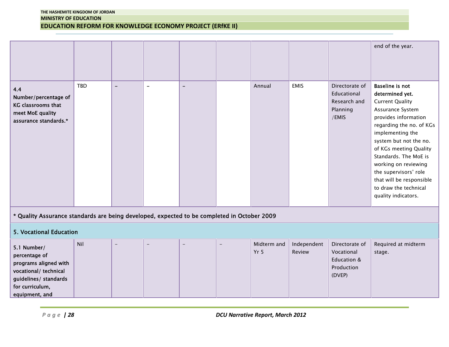|                                                                                                                                              |            |                          |                |                          |          |                                         |                       |                                                                     | end of the year.                                                                                                                                                                                                                                                                                                                                                          |  |
|----------------------------------------------------------------------------------------------------------------------------------------------|------------|--------------------------|----------------|--------------------------|----------|-----------------------------------------|-----------------------|---------------------------------------------------------------------|---------------------------------------------------------------------------------------------------------------------------------------------------------------------------------------------------------------------------------------------------------------------------------------------------------------------------------------------------------------------------|--|
| 4.4<br>Number/percentage of<br>KG classrooms that<br>meet MoE quality<br>assurance standards.*                                               | <b>TBD</b> | $\overline{\phantom{m}}$ | $\blacksquare$ | $\overline{\phantom{0}}$ |          | Annual                                  | <b>EMIS</b>           | Directorate of<br>Educational<br>Research and<br>Planning<br>/EMIS  | <b>Baseline is not</b><br>determined yet.<br><b>Current Quality</b><br>Assurance System<br>provides information<br>regarding the no. of KGs<br>implementing the<br>system but not the no.<br>of KGs meeting Quality<br>Standards. The MoE is<br>working on reviewing<br>the supervisors' role<br>that will be responsible<br>to draw the technical<br>quality indicators. |  |
| * Quality Assurance standards are being developed, expected to be completed in October 2009                                                  |            |                          |                |                          |          |                                         |                       |                                                                     |                                                                                                                                                                                                                                                                                                                                                                           |  |
| <b>5. Vocational Education</b>                                                                                                               |            |                          |                |                          |          |                                         |                       |                                                                     |                                                                                                                                                                                                                                                                                                                                                                           |  |
| 5.1 Number/<br>percentage of<br>programs aligned with<br>vocational/ technical<br>guidelines/ standards<br>for curriculum,<br>equipment, and | Nil        | $\overline{\phantom{a}}$ | ۳              | $\overline{\phantom{0}}$ | $\equiv$ | Midterm and<br>Yr <sub>5</sub>          | Independent<br>Review | Directorate of<br>Vocational<br>Education &<br>Production<br>(DVEP) | Required at midterm<br>stage.                                                                                                                                                                                                                                                                                                                                             |  |
|                                                                                                                                              |            |                          |                |                          |          |                                         |                       |                                                                     |                                                                                                                                                                                                                                                                                                                                                                           |  |
| Page $ 28$                                                                                                                                   |            |                          |                |                          |          | <b>DCU Narrative Report, March 2012</b> |                       |                                                                     |                                                                                                                                                                                                                                                                                                                                                                           |  |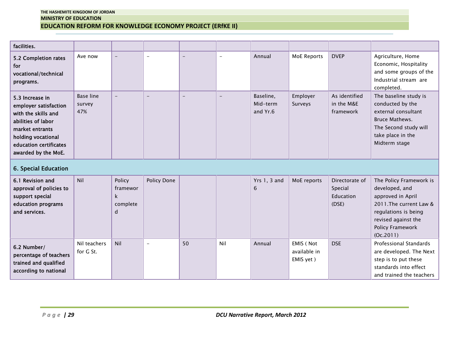| facilities.                                                                                                                                                                     |                            |                                                    |                          |                   |                   |                                   |                     |                                                 |                                                                                                                                                              |
|---------------------------------------------------------------------------------------------------------------------------------------------------------------------------------|----------------------------|----------------------------------------------------|--------------------------|-------------------|-------------------|-----------------------------------|---------------------|-------------------------------------------------|--------------------------------------------------------------------------------------------------------------------------------------------------------------|
|                                                                                                                                                                                 |                            |                                                    |                          |                   |                   |                                   |                     |                                                 |                                                                                                                                                              |
| 5.2 Completion rates<br>for<br>vocational/technical<br>programs.                                                                                                                | Ave now                    | $\overline{\phantom{a}}$                           | $\overline{\phantom{a}}$ | $\qquad \qquad -$ | $\qquad \qquad -$ | Annual                            | <b>MoE Reports</b>  | <b>DVEP</b>                                     | Agriculture, Home<br>Economic, Hospitality<br>and some groups of the<br>Industrial stream are<br>completed.                                                  |
| 5.3 Increase in<br>employer satisfaction<br>with the skills and<br>abilities of labor<br>market entrants<br>holding vocational<br>education certificates<br>awarded by the MoE. | Base line<br>survey<br>47% | $\equiv$                                           | $\equiv$                 | $\equiv$          | $\equiv$          | Baseline,<br>Mid-term<br>and Yr.6 | Employer<br>Surveys | As identified<br>in the M&E<br>framework        | The baseline study is<br>conducted by the<br>external consultant<br><b>Bruce Mathews.</b><br>The Second study will<br>take place in the<br>Midterm stage     |
| 6. Special Education                                                                                                                                                            |                            |                                                    |                          |                   |                   |                                   |                     |                                                 |                                                                                                                                                              |
| 6.1 Revision and<br>approval of policies to<br>support special<br>education programs<br>and services.                                                                           | Nil                        | Policy<br>framewor<br>$\mathsf k$<br>complete<br>d | Policy Done              |                   |                   | Yrs $1, 3$ and<br>$6\phantom{1}$  | MoE reports         | Directorate of<br>Special<br>Education<br>(DSE) | The Policy Framework is<br>developed, and<br>approved in April<br>2011. The current Law &<br>regulations is being<br>revised against the<br>Policy Framework |
|                                                                                                                                                                                 |                            |                                                    |                          |                   |                   |                                   |                     |                                                 | (0c.2011)                                                                                                                                                    |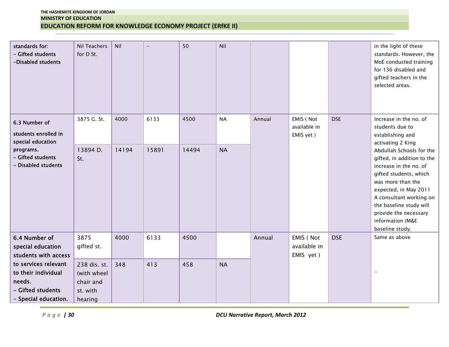| standards for:<br>- Gifted students<br>-Disabled students                                          | Nil Teachers<br>for D St.                                       | Nil   |       | 50    | Nil       |        |                                        |            | in the light of these<br>standards. However, the<br>MoE conducted training<br>for 136 disabled and<br>gifted teachers in the<br>selected areas.                                                                                                                                |  |  |  |
|----------------------------------------------------------------------------------------------------|-----------------------------------------------------------------|-------|-------|-------|-----------|--------|----------------------------------------|------------|--------------------------------------------------------------------------------------------------------------------------------------------------------------------------------------------------------------------------------------------------------------------------------|--|--|--|
| 6.3 Number of<br>students enrolled in<br>special education                                         | 3875 G. St.                                                     | 4000  | 6133  | 4500  | <b>NA</b> | Annual | EMIS (Not<br>available in<br>EMIS yet) | <b>DSE</b> | Increase in the no. of<br>students due to<br>establishing and<br>activating 2 King                                                                                                                                                                                             |  |  |  |
| programs.<br>- Gifted students<br>- Disabled students                                              | 13894 D.<br>St.                                                 | 14194 | 15891 | 14494 | <b>NA</b> |        |                                        |            | Abdullah Schools for the<br>gifted, in addition to the<br>increase in the no. of<br>gifted students, which<br>was more than the<br>expected, in May 2011<br>A consultant working on<br>the baseline study will<br>provide the necessary<br>information (M&E<br>baseline study. |  |  |  |
| 6.4 Number of<br>special education<br>students with access                                         | 3875<br>gifted st.                                              | 4000  | 6133  | 4500  |           | Annual | EMIS (Not<br>available in<br>EMIS yet) | <b>DSE</b> | Same as above                                                                                                                                                                                                                                                                  |  |  |  |
| to services relevant<br>to their individual<br>needs.<br>- Gifted students<br>- Special education. | 238 dis. st.<br>(with wheel<br>chair and<br>st. with<br>hearing | 348   | 413   | 458   | <b>NA</b> |        |                                        |            | $\equiv$                                                                                                                                                                                                                                                                       |  |  |  |
|                                                                                                    | $P \alpha g e$   30<br><b>DCU Narrative Report, March 2012</b>  |       |       |       |           |        |                                        |            |                                                                                                                                                                                                                                                                                |  |  |  |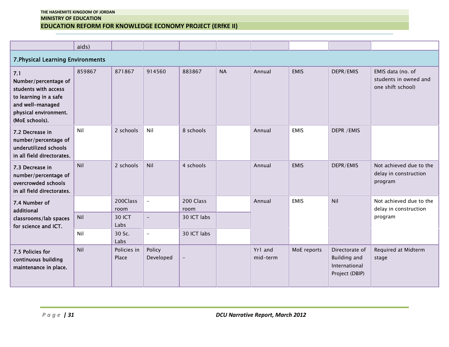|                                                                                                                                             | aids)  |                       |                     |                   |           |                       |             |                                                                          |                                                                 |
|---------------------------------------------------------------------------------------------------------------------------------------------|--------|-----------------------|---------------------|-------------------|-----------|-----------------------|-------------|--------------------------------------------------------------------------|-----------------------------------------------------------------|
| 7. Physical Learning Environments                                                                                                           |        |                       |                     |                   |           |                       |             |                                                                          |                                                                 |
| 7.1<br>Number/percentage of<br>students with access<br>to learning in a safe<br>and well-managed<br>physical environment.<br>(MoE schools). | 859867 | 871867                | 914560              | 883867            | <b>NA</b> | Annual                | <b>EMIS</b> | DEPR/EMIS                                                                | EMIS data (no. of<br>students in owned and<br>one shift school) |
| 7.2 Decrease in<br>number/percentage of<br>underutilized schools<br>in all field directorates.                                              | Nil    | 2 schools             | Nil                 | 8 schools         |           | Annual                | <b>EMIS</b> | DEPR / EMIS                                                              |                                                                 |
| 7.3 Decrease in<br>number/percentage of<br>overcrowded schools<br>in all field directorates.                                                | Nil    | 2 schools             | Nil                 | 4 schools         |           | Annual                | <b>EMIS</b> | DEPR/EMIS                                                                | Not achieved due to the<br>delay in construction<br>program     |
| 7.4 Number of<br>additional<br>classrooms/lab spaces<br>for science and ICT.                                                                |        | 200Class<br>room      | $\equiv$            | 200 Class<br>room |           | <b>EMIS</b><br>Annual |             | Nil                                                                      | Not achieved due to the<br>delay in construction                |
|                                                                                                                                             | Nil    | <b>30 ICT</b><br>Labs | $\equiv$            | 30 ICT labs       |           |                       |             |                                                                          | program                                                         |
|                                                                                                                                             | Nil    | 30 Sc.<br>Labs        | $\equiv$            | 30 ICT labs       |           |                       |             |                                                                          |                                                                 |
| 7.5 Policies for<br>continuous building<br>maintenance in place.                                                                            | Nil    | Policies in<br>Place  | Policy<br>Developed | $\qquad \qquad -$ |           | Yr1 and<br>mid-term   | MoE reports | Directorate of<br><b>Building and</b><br>International<br>Project (DBIP) | Required at Midterm<br>stage                                    |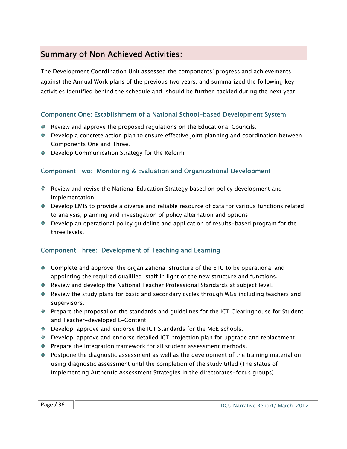# **Summary of Non Achieved Activities:**

The Development Coordination Unit assessed the components' progress and achievements against the Annual Work plans of the previous two years, and summarized the following key activities identified behind the schedule and should be further tackled during the next year:

# **Component One: Establishment of a National School-based Development System**

- Review and approve the proposed regulations on the Educational Councils.
- ◆ Develop a concrete action plan to ensure effective joint planning and coordination between Components One and Three.
- ◆ Develop Communication Strategy for the Reform

# **Component Two: Monitoring & Evaluation and Organizational Development**

- Review and revise the National Education Strategy based on policy development and implementation.
- Develop EMIS to provide a diverse and reliable resource of data for various functions related to analysis, planning and investigation of policy alternation and options.
- Develop an operational policy guideline and application of results-based program for the three levels.

# **Component Three: Development of Teaching and Learning**

- Complete and approve the organizational structure of the ETC to be operational and appointing the required qualified staff in light of the new structure and functions.
- Review and develop the National Teacher Professional Standards at subject level.
- Review the study plans for basic and secondary cycles through WGs including teachers and supervisors.
- Prepare the proposal on the standards and guidelines for the ICT Clearinghouse for Student and Teacher-developed E-Content
- Develop, approve and endorse the ICT Standards for the MoE schools.
- Develop, approve and endorse detailed ICT projection plan for upgrade and replacement
- **Prepare the integration framework for all student assessment methods.**
- Postpone the diagnostic assessment as well as the development of the training material on using diagnostic assessment until the completion of the study titled (The status of implementing Authentic Assessment Strategies in the directorates-focus groups).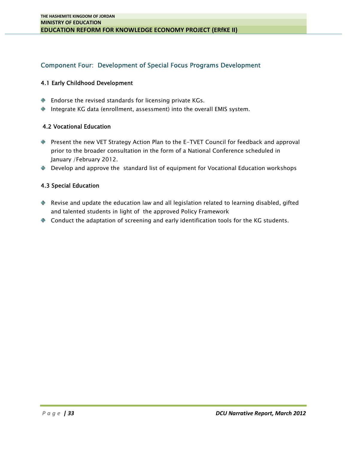# **Component Four: Development of Special Focus Programs Development**

#### **4.1 Early Childhood Development**

- ♦ Endorse the revised standards for licensing private KGs.
- Integrate KG data (enrollment, assessment) into the overall EMIS system.

#### **4.2 Vocational Education**

- Present the new VET Strategy Action Plan to the E-TVET Council for feedback and approval prior to the broader consultation in the form of a National Conference scheduled in January /February 2012.
- Develop and approve the standard list of equipment for Vocational Education workshops

#### **4.3 Special Education**

- Revise and update the education law and all legislation related to learning disabled, gifted and talented students in light of the approved Policy Framework
- ♦ Conduct the adaptation of screening and early identification tools for the KG students.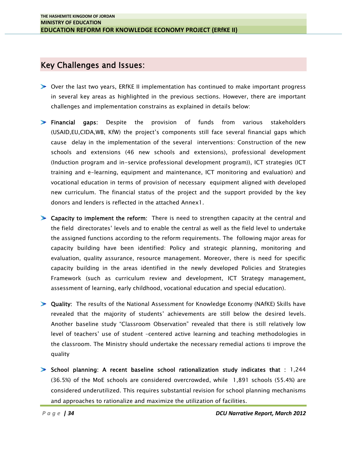# **Key Challenges and Issues:**

- Over the last two years, ERfKE II implementation has continued to make important progress in several key areas as highlighted in the previous sections. However, there are important challenges and implementation constrains as explained in details below:
- **Financial gaps:** Despite the provision of funds from various stakeholders (USAID,EU,CIDA,WB, KfW) the project's components still face several financial gaps which cause delay in the implementation of the several interventions: Construction of the new schools and extensions (46 new schools and extensions), professional development (Induction program and in-service professional development program)), ICT strategies (ICT training and e-learning, equipment and maintenance, ICT monitoring and evaluation) and vocational education in terms of provision of necessary equipment aligned with developed new curriculum. The financial status of the project and the support provided by the key donors and lenders is reflected in the attached Annex1.
- **Capacity to implement the reform:** There is need to strengthen capacity at the central and the field directorates' levels and to enable the central as well as the field level to undertake the assigned functions according to the reform requirements. The following major areas for capacity building have been identified: Policy and strategic planning, monitoring and evaluation, quality assurance, resource management. Moreover, there is need for specific capacity building in the areas identified in the newly developed Policies and Strategies Framework (such as curriculum review and development, ICT Strategy management, assessment of learning, early childhood, vocational education and special education).
- **Quality:** The results of the National Assessment for Knowledge Economy (NAfKE) Skills have revealed that the majority of students' achievements are still below the desired levels. Another baseline study "Classroom Observation" revealed that there is still relatively low level of teachers' use of student –centered active learning and teaching methodologies in the classroom. The Ministry should undertake the necessary remedial actions ti improve the quality
- (36.5%) of the MoE schools are considered overcrowded, while 1,891 schools (55.4%) are<br>considered underutilized. This requires substantial revision for school planning mechanisms<br>and approaches to rationalize and maximize **School planning: A recent baseline school rationalization study indicates that :** 1,244 (36.5%) of the MoE schools are considered overcrowded, while 1,891 schools (55.4%) are considered underutilized. This requires substantial revision for school planning mechanisms and approaches to rationalize and maximize the utilization of facilities.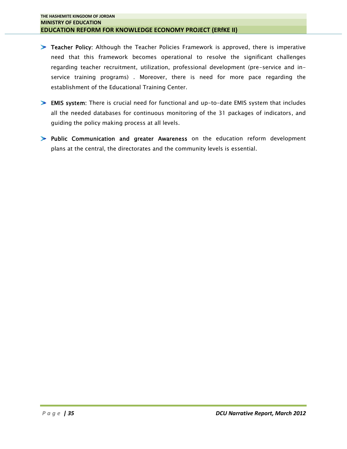- **Teacher Policy:** Although the Teacher Policies Framework is approved, there is imperative need that this framework becomes operational to resolve the significant challenges regarding teacher recruitment, utilization, professional development (pre-service and inservice training programs) . Moreover, there is need for more pace regarding the establishment of the Educational Training Center.
- **EMIS system:** There is crucial need for functional and up-to-date EMIS system that includes all the needed databases for continuous monitoring of the 31 packages of indicators, and guiding the policy making process at all levels.
- **Public Communication and greater Awareness** on the education reform development plans at the central, the directorates and the community levels is essential.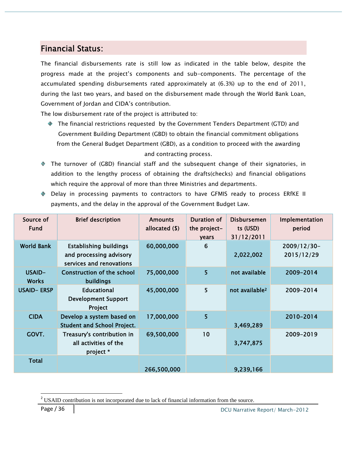# **Financial Status:**

The financial disbursements rate is still low as indicated in the table below, despite the progress made at the project's components and sub-components. The percentage of the accumulated spending disbursements rated approximately at (6.3%) up to the end of 2011, during the last two years, and based on the disbursement made through the World Bank Loan, Government of Jordan and CIDA's contribution.

The low disbursement rate of the project is attributed to:

- The financial restrictions requested by the Government Tenders Department (GTD) and Government Building Department (GBD) to obtain the financial commitment obligations from the General Budget Department (GBD), as a condition to proceed with the awarding and contracting process.
- The turnover of (GBD) financial staff and the subsequent change of their signatories, in addition to the lengthy process of obtaining the drafts(checks) and financial obligations which require the approval of more than three Ministries and departments.
- Delay in processing payments to contractors to have GFMIS ready to process ERfKE II payments, and the delay in the approval of the Government Budget Law.

| Source of<br><b>Fund</b> | <b>Brief description</b>                                                             | <b>Amounts</b><br>allocated (\$) | <b>Duration of</b><br>the project-<br>years | <b>Disbursemen</b><br>ts (USD)<br>31/12/2011 | Implementation<br>period  |  |  |
|--------------------------|--------------------------------------------------------------------------------------|----------------------------------|---------------------------------------------|----------------------------------------------|---------------------------|--|--|
| <b>World Bank</b>        | <b>Establishing buildings</b><br>and processing advisory<br>services and renovations | 60,000,000                       | 6                                           | 2,022,002                                    | 2009/12/30-<br>2015/12/29 |  |  |
| USAID-<br>Works          | <b>Construction of the school</b><br><b>buildings</b>                                | 75,000,000                       | 5 <sup>5</sup>                              | not available                                | 2009-2014                 |  |  |
| <b>USAID-ERSP</b>        | <b>Educational</b><br><b>Development Support</b><br>Project                          | 45,000,000                       | 5                                           | not available <sup>2</sup>                   | 2009-2014                 |  |  |
| <b>CIDA</b>              | Develop a system based on<br><b>Student and School Project.</b>                      | 17,000,000                       | 5                                           | 3,469,289                                    | 2010-2014                 |  |  |
| GOVT.                    | Treasury's contribution in<br>all activities of the<br>project *                     | 69,500,000                       | 10                                          | 3,747,875                                    | 2009-2019                 |  |  |
| <b>Total</b>             |                                                                                      | 266,500,000                      |                                             | 9,239,166                                    |                           |  |  |

<sup>&</sup>lt;sup>2</sup> USAID contribution is not incorporated due to lack of financial information from the source.